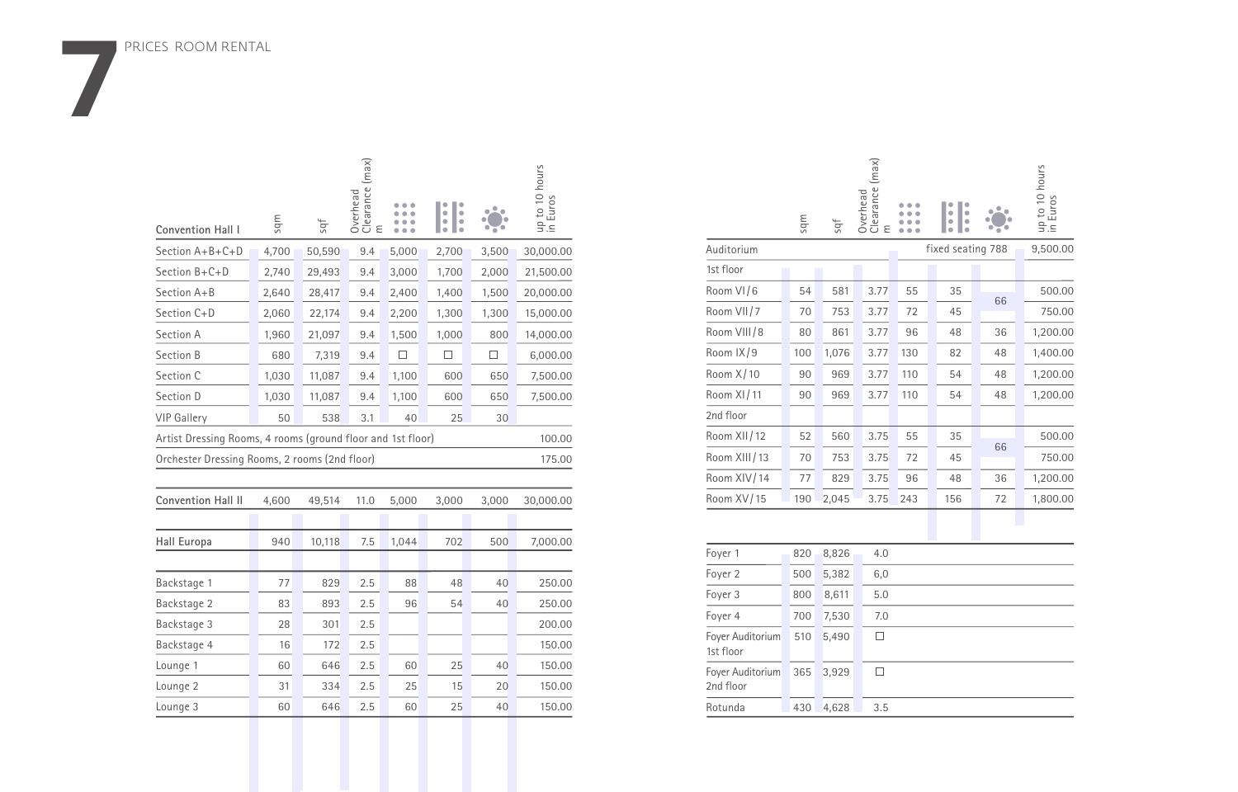PRICES ROOM RENTAL

**7**

| Convention Hall I                                           | mbs   | sqf    | Clearance (max)<br>Overhead<br>ε |       | $\bullet$<br>ó<br>$\bullet$<br>$\bullet$ |       | up to 10 hours<br>in Euros |
|-------------------------------------------------------------|-------|--------|----------------------------------|-------|------------------------------------------|-------|----------------------------|
| Section A+B+C+D                                             | 4,700 | 50,590 | 9.4                              | 5,000 | 2,700                                    | 3,500 | 30,000.00                  |
| Section B+C+D                                               | 2,740 | 29,493 | 9.4                              | 3,000 | 1,700                                    | 2,000 | 21,500.00                  |
| Section A+B                                                 | 2,640 | 28,417 | 9.4                              | 2,400 | 1,400                                    | 1,500 | 20,000.00                  |
| Section C+D                                                 | 2,060 | 22,174 | 9.4                              | 2,200 | 1,300                                    | 1,300 | 15,000.00                  |
| Section A                                                   | 1,960 | 21,097 | 9.4                              | 1,500 | 1,000                                    | 800   | 14,000.00                  |
| Section B                                                   | 680   | 7,319  | 9.4                              | П     | □                                        | □     | 6,000.00                   |
| Section C                                                   | 1,030 | 11,087 | 9.4                              | 1,100 | 600                                      | 650   | 7,500.00                   |
| Section D                                                   | 1,030 | 11,087 | 9.4                              | 1,100 | 600                                      | 650   | 7,500.00                   |
| <b>VIP Gallery</b>                                          | 50    | 538    | 3.1                              | 40    | 25                                       | 30    |                            |
| Artist Dressing Rooms, 4 rooms (ground floor and 1st floor) |       |        |                                  |       |                                          |       | 100.00                     |
| Orchester Dressing Rooms, 2 rooms (2nd floor)               |       |        |                                  |       |                                          |       | 175.00                     |
|                                                             |       |        |                                  |       |                                          |       |                            |
| <b>Convention Hall II</b>                                   | 4,600 | 49,514 | 11.0                             | 5,000 | 3,000                                    | 3,000 | 30,000.00                  |
|                                                             |       |        |                                  |       |                                          |       |                            |
| Hall Europa                                                 | 940   | 10,118 | 7.5                              | 1,044 | 702                                      | 500   | 7,000.00                   |
|                                                             |       |        |                                  |       |                                          |       |                            |
| Backstage 1                                                 | 77    | 829    | 2.5                              | 88    | 48                                       | 40    | 250.00                     |
| Backstage 2                                                 | 83    | 893    | 2.5                              | 96    | 54                                       | 40    | 250.00                     |
| Backstage 3                                                 | 28    | 301    | 2.5                              |       |                                          |       | 200.00                     |
| Backstage 4                                                 | 16    | 172    | 2.5                              |       |                                          |       | 150.00                     |
| Lounge 1                                                    | 60    | 646    | 2.5                              | 60    | 25                                       | 40    | 150.00                     |
| Lounge 2                                                    | 31    | 334    | 2.5                              | 25    | 15                                       | 20    | 150.00                     |
| Lounge 3                                                    | 60    | 646    | 2.5                              | 60    | 25                                       | 40    | 150.00                     |
|                                                             |       |        |                                  |       |                                          |       |                            |

|                               | adus | İps   | Overhead<br>Clearance (max)<br>ε |     | ٠<br>ò<br>$\bullet$<br>$\bullet$ |                   | up to 10 hours<br>in Euros |
|-------------------------------|------|-------|----------------------------------|-----|----------------------------------|-------------------|----------------------------|
| Auditorium                    |      |       |                                  |     |                                  | fixed seating 788 | 9,500.00                   |
| 1st floor                     |      |       |                                  |     |                                  |                   |                            |
| Room VI/6                     | 54   | 581   | 3.77                             | 55  | 35                               | 66                | 500.00                     |
| Room VII/7                    | 70   | 753   | 3.77                             | 72  | 45                               |                   | 750.00                     |
| Room VIII/8                   | 80   | 861   | 3.77                             | 96  | 48                               | 36                | 1,200.00                   |
| Room IX/9                     | 100  | 1,076 | 3.77                             | 130 | 82                               | 48                | 1,400.00                   |
| Room X/10                     | 90   | 969   | 3.77                             | 110 | 54                               | 48                | 1,200.00                   |
| Room XI/11                    | 90   | 969   | 3.77                             | 110 | 54                               | 48                | 1,200.00                   |
| 2nd floor                     |      |       |                                  |     |                                  |                   |                            |
| Room XII/12                   | 52   | 560   | 3.75                             | 55  | 35                               | 66                | 500.00                     |
| Room XIII/13                  | 70   | 753   | 3.75                             | 72  | 45                               |                   | 750.00                     |
| Room XIV/14                   | 77   | 829   | 3.75                             | 96  | 48                               | 36                | 1,200.00                   |
| Room XV/15                    | 190  | 2,045 | 3.75                             | 243 | 156                              | 72                | 1,800.00                   |
|                               |      |       |                                  |     |                                  |                   |                            |
| Foyer 1                       | 820  | 8,826 | 4.0                              |     |                                  |                   |                            |
| Foyer 2                       | 500  | 5,382 | 6,0                              |     |                                  |                   |                            |
| Foyer 3                       | 800  | 8,611 | 5.0                              |     |                                  |                   |                            |
| Foyer 4                       | 700  | 7,530 | 7.0                              |     |                                  |                   |                            |
| Foyer Auditorium<br>1st floor | 510  | 5,490 | $\Box$                           |     |                                  |                   |                            |
| Foyer Auditorium<br>2nd floor | 365  | 3,929 | $\Box$                           |     |                                  |                   |                            |
| Rotunda                       | 430  | 4,628 | 3.5                              |     |                                  |                   |                            |